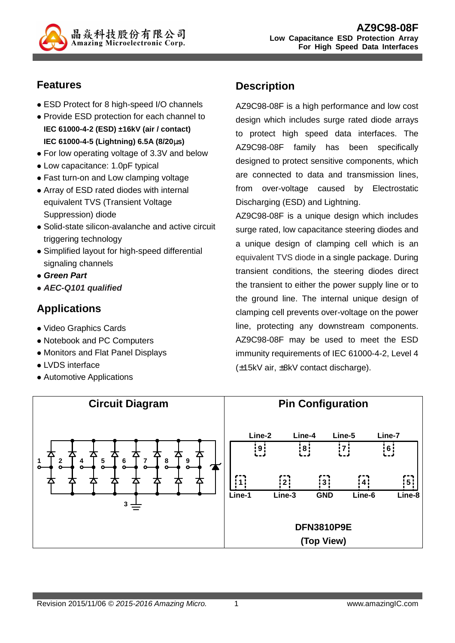

### **Features**

- ESD Protect for 8 high-speed I/O channels
- Provide ESD protection for each channel to **IEC 61000-4-2 (ESD) ±16kV (air / contact) IEC 61000-4-5 (Lightning) 6.5A (8/20**µ**s)**
- For low operating voltage of 3.3V and below
- Low capacitance: 1.0pF typical
- Fast turn-on and Low clamping voltage
- Array of ESD rated diodes with internal equivalent TVS (Transient Voltage Suppression) diode
- Solid-state silicon-avalanche and active circuit triggering technology
- Simplified layout for high-speed differential signaling channels
- **Green Part**
- **AEC-Q101 qualified**

# **Applications**

- Video Graphics Cards
- Notebook and PC Computers
- Monitors and Flat Panel Displays
- **LVDS** interface
- Automotive Applications

# **Description**

AZ9C98-08F is a high performance and low cost design which includes surge rated diode arrays to protect high speed data interfaces. The AZ9C98-08F family has been specifically designed to protect sensitive components, which are connected to data and transmission lines, from over-voltage caused by Electrostatic Discharging (ESD) and Lightning.

AZ9C98-08F is a unique design which includes surge rated, low capacitance steering diodes and a unique design of clamping cell which is an equivalent TVS diode in a single package. During transient conditions, the steering diodes direct the transient to either the power supply line or to the ground line. The internal unique design of clamping cell prevents over-voltage on the power line, protecting any downstream components. AZ9C98-08F may be used to meet the ESD immunity requirements of IEC 61000-4-2, Level 4 (±15kV air, ±8kV contact discharge).

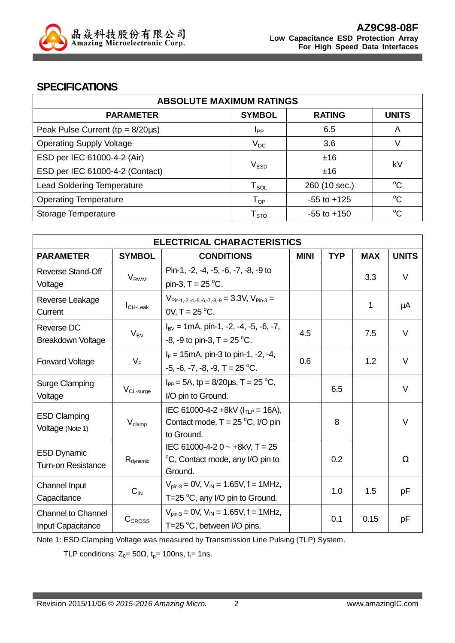

#### **SPECIFICATIONS**

| <b>ABSOLUTE MAXIMUM RATINGS</b>         |                        |                 |              |  |
|-----------------------------------------|------------------------|-----------------|--------------|--|
| <b>PARAMETER</b>                        | <b>SYMBOL</b>          | <b>RATING</b>   | <b>UNITS</b> |  |
| Peak Pulse Current ( $tp = 8/20\mu s$ ) | <b>I</b> <sub>PP</sub> | 6.5             | A            |  |
| <b>Operating Supply Voltage</b>         | $V_{DC}$               | 3.6             | V            |  |
| ESD per IEC 61000-4-2 (Air)             |                        |                 | kV           |  |
| ESD per IEC 61000-4-2 (Contact)         | V <sub>ESD</sub>       | ±16             |              |  |
| <b>Lead Soldering Temperature</b>       | ${\sf T}_{\sf SOL}$    | 260 (10 sec.)   | $\rm ^{o}C$  |  |
| <b>Operating Temperature</b>            | $T_{OP}$               | $-55$ to $+125$ | $\rm ^{o}C$  |  |
| Storage Temperature                     | ${\sf T}_{\sf STO}$    | $-55$ to $+150$ | $\rm ^{o}C$  |  |

| <b>ELECTRICAL CHARACTERISTICS</b>              |                             |                                                                                                  |             |            |            |              |
|------------------------------------------------|-----------------------------|--------------------------------------------------------------------------------------------------|-------------|------------|------------|--------------|
| <b>PARAMETER</b>                               | <b>SYMBOL</b>               | <b>CONDITIONS</b>                                                                                | <b>MINI</b> | <b>TYP</b> | <b>MAX</b> | <b>UNITS</b> |
| Reverse Stand-Off<br>Voltage                   | V <sub>RWM</sub>            | Pin-1, -2, -4, -5, -6, -7, -8, -9 to<br>pin-3, $T = 25 °C$ .                                     |             |            | 3.3        | V            |
| Reverse Leakage<br>Current                     | $I_{CH\text{-}\text{Leak}}$ | $V_{Pin-1.-2.-4.-5.-6.-7.-8.-9}=3.3V, V_{Pin-3}=$<br>$0V$ , T = 25 °C.                           |             |            | 1          | μA           |
| Reverse DC<br>Breakdown Voltage                | $V_{BV}$                    | $I_{\text{BV}}$ = 1mA, pin-1, -2, -4, -5, -6, -7,<br>-8, -9 to pin-3, $T = 25$ °C.               | 4.5         |            | 7.5        | $\vee$       |
| <b>Forward Voltage</b>                         | $V_F$                       | $I_F = 15 \text{mA}$ , pin-3 to pin-1, -2, -4,<br>$-5, -6, -7, -8, -9, T = 25$ °C.               | 0.6         |            | 1.2        | V            |
| <b>Surge Clamping</b><br>Voltage               | $V_{CL-surface}$            | $I_{PP}$ = 5A, tp = 8/20 $\mu$ s, T = 25 °C,<br>I/O pin to Ground.                               |             | 6.5        |            | $\vee$       |
| <b>ESD Clamping</b><br>Voltage (Note 1)        | $V_{\text{clamp}}$          | IEC 61000-4-2 +8kV ( $I_{TLP}$ = 16A),<br>Contact mode, $T = 25 °C$ , I/O pin<br>to Ground.      |             | 8          |            | $\vee$       |
| <b>ESD Dynamic</b><br>Turn-on Resistance       | R <sub>dynamic</sub>        | IEC 61000-4-2 0 $\sim$ +8kV, T = 25<br>°C, Contact mode, any I/O pin to<br>Ground.               |             | 0.2        |            | Ω            |
| <b>Channel Input</b><br>Capacitance            | $C_{IN}$                    | $V_{pin-3} = 0V$ , $V_{IN} = 1.65V$ , f = 1MHz,<br>T=25 $\mathrm{°C}$ , any I/O pin to Ground.   |             | 1.0        | 1.5        | рF           |
| <b>Channel to Channel</b><br>Input Capacitance | CCROSS                      | $V_{pin-3} = 0V$ , $V_{IN} = 1.65V$ , f = 1MHz,<br>T=25 $\mathrm{^{\circ}C}$ , between I/O pins. |             | 0.1        | 0.15       | рF           |

Note 1: ESD Clamping Voltage was measured by Transmission Line Pulsing (TLP) System.

TLP conditions:  $Z_0 = 50\Omega$ ,  $t_p = 100$ ns,  $t_r = 1$ ns.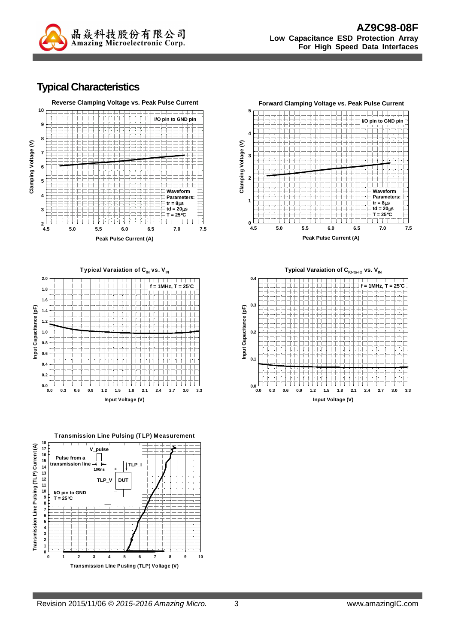

#### **Typical Characteristics**





**Transmission Line Pulsing (TLP) M easurement**





**Typical Varaiation of CIO-to-IO vs. VIN**

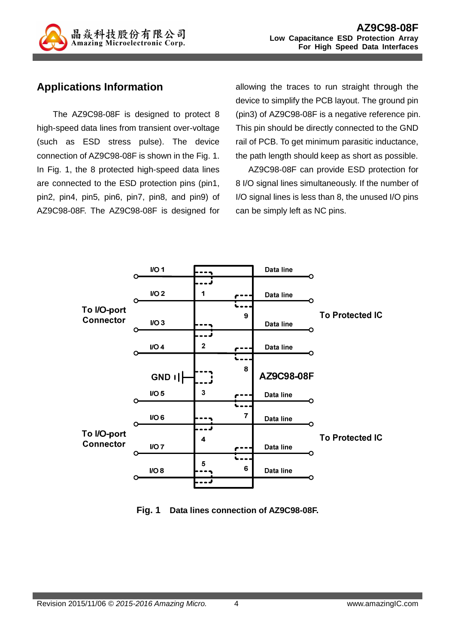

### **Applications Information**

The AZ9C98-08F is designed to protect 8 high-speed data lines from transient over-voltage (such as ESD stress pulse). The device connection of AZ9C98-08F is shown in the Fig. 1. In Fig. 1, the 8 protected high-speed data lines are connected to the ESD protection pins (pin1, pin2, pin4, pin5, pin6, pin7, pin8, and pin9) of AZ9C98-08F. The AZ9C98-08F is designed for allowing the traces to run straight through the device to simplify the PCB layout. The ground pin (pin3) of AZ9C98-08F is a negative reference pin. This pin should be directly connected to the GND rail of PCB. To get minimum parasitic inductance, the path length should keep as short as possible.

AZ9C98-08F can provide ESD protection for 8 I/O signal lines simultaneously. If the number of I/O signal lines is less than 8, the unused I/O pins can be simply left as NC pins.

|                  | I/O1             |   |   | Data line  |                        |
|------------------|------------------|---|---|------------|------------------------|
|                  |                  |   |   |            |                        |
|                  | $UO2$            | 1 |   | Data line  |                        |
| To I/O-port      |                  |   |   |            | <b>To Protected IC</b> |
| <b>Connector</b> | I/O <sub>3</sub> |   | 9 | Data line  |                        |
|                  |                  |   |   |            |                        |
|                  | IO4              | 2 |   | Data line  |                        |
|                  |                  |   |   |            |                        |
|                  | GND I            |   | 8 | AZ9C98-08F |                        |
|                  | IO <sub>5</sub>  | 3 |   | Data line  |                        |
|                  |                  |   |   |            |                        |
|                  | I/O 6            |   | 7 | Data line  |                        |
| To I/O-port      |                  |   |   |            |                        |
| <b>Connector</b> | $IO$ 7           | 4 |   | Data line  | <b>To Protected IC</b> |
|                  |                  | 5 |   |            |                        |
|                  | $IO$ 8           |   | 6 | Data line  |                        |
|                  |                  |   |   |            |                        |

**Fig. 1 Data lines connection of AZ9C98-08F.**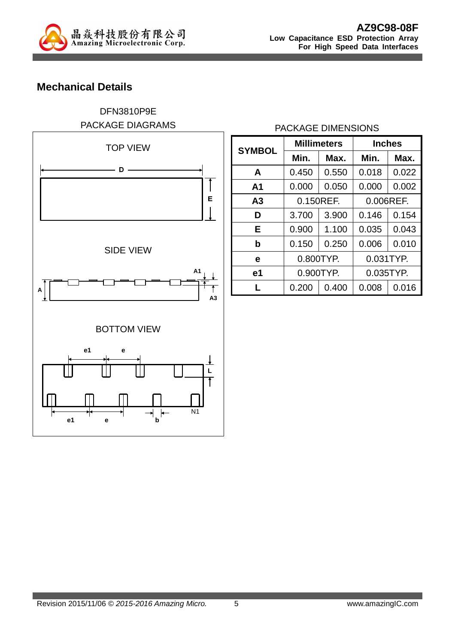

# **Mechanical Details**

### DFN3810P9E PACKAGE DIAGRAMS



#### PACKAGE DIMENSIONS

| <b>Millimeters</b><br><b>SYMBOL</b> |           | <b>Inches</b> |           |       |
|-------------------------------------|-----------|---------------|-----------|-------|
|                                     | Min.      | Max.          |           | Max.  |
| A                                   | 0.450     | 0.550         | 0.018     | 0.022 |
| A1                                  | 0.000     | 0.050         | 0.000     | 0.002 |
| Α3                                  | 0.150REF. |               | 0.006REF. |       |
| D                                   | 3.700     | 3.900         | 0.146     | 0.154 |
| Е                                   | 0.900     | 1.100         | 0.035     | 0.043 |
| b                                   | 0.150     | 0.250         | 0.006     | 0.010 |
| е                                   | 0.800TYP. |               | 0.031TYP. |       |
| e1                                  | 0.900TYP. |               | 0.035TYP. |       |
|                                     | 0.200     | 0.400         | 0.008     | 0.016 |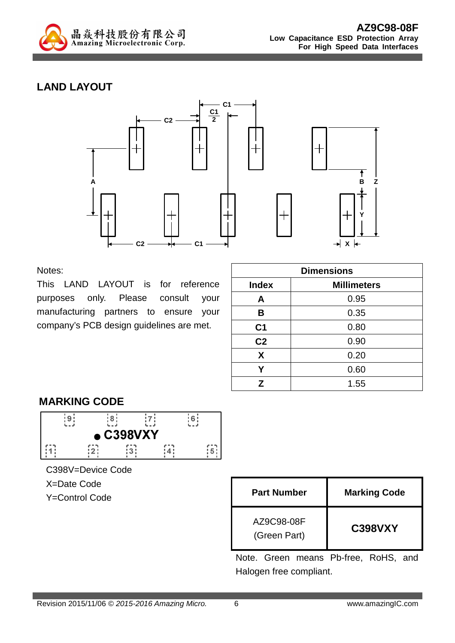

# **LAND LAYOUT**



Notes:

This LAND LAYOUT is for reference purposes only. Please consult your manufacturing partners to ensure your company's PCB design guidelines are met.

| <b>Dimensions</b> |                    |  |  |
|-------------------|--------------------|--|--|
| <b>Index</b>      | <b>Millimeters</b> |  |  |
| A                 | 0.95               |  |  |
| B                 | 0.35               |  |  |
| C <sub>1</sub>    | 0.80               |  |  |
| C <sub>2</sub>    | 0.90               |  |  |
| X                 | 0.20               |  |  |
| Y                 | 0.60               |  |  |
| Z                 | 1.55               |  |  |

## **MARKING CODE**



C398V=Device Code

X=Date Code

**Y=Control Code** 

| <b>Part Number</b>         | <b>Marking Code</b> |
|----------------------------|---------------------|
| AZ9C98-08F<br>(Green Part) | <b>C398VXY</b>      |

Note. Green means Pb-free, RoHS, and Halogen free compliant.